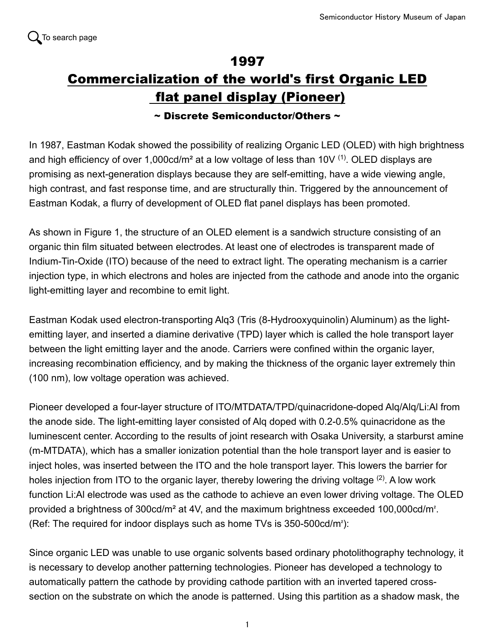## 1997 Commercialization of the world's first Organic LED flat panel display (Pioneer)

## $\sim$  Discrete Semiconductor/Others  $\sim$

In 1987, Eastman Kodak showed the possibility of realizing Organic LED (OLED) with high brightness and high efficiency of over 1,000cd/m<sup>2</sup> at a low voltage of less than 10V  $(1)$ . OLED displays are promising as next-generation displays because they are self-emitting, have a wide viewing angle, high contrast, and fast response time, and are structurally thin. Triggered by the announcement of Eastman Kodak, a flurry of development of OLED flat panel displays has been promoted.

As shown in Figure 1, the structure of an OLED element is a sandwich structure consisting of an organic thin film situated between electrodes. At least one of electrodes is transparent made of Indium-Tin-Oxide (ITO) because of the need to extract light. The operating mechanism is a carrier injection type, in which electrons and holes are injected from the cathode and anode into the organic light-emitting layer and recombine to emit light.

Eastman Kodak used electron-transporting Alq3 (Tris (8-Hydrooxyquinolin) Aluminum) as the lightemitting layer, and inserted a diamine derivative (TPD) layer which is called the hole transport layer between the light emitting layer and the anode. Carriers were confined within the organic layer, increasing recombination efficiency, and by making the thickness of the organic layer extremely thin (100 nm), low voltage operation was achieved.

Pioneer developed a four-layer structure of ITO/MTDATA/TPD/quinacridone-doped Alq/Alq/Li:Al from the anode side. The light-emitting layer consisted of Alq doped with 0.2-0.5% quinacridone as the luminescent center. According to the results of joint research with Osaka University, a starburst amine (m-MTDATA), which has a smaller ionization potential than the hole transport layer and is easier to inject holes, was inserted between the ITO and the hole transport layer. This lowers the barrier for holes injection from ITO to the organic layer, thereby lowering the driving voltage <sup>(2)</sup>. A low work function Li:Al electrode was used as the cathode to achieve an even lower driving voltage. The OLED provided a brightness of 300cd/m² at 4V, and the maximum brightness exceeded 100,000cd/m². (Ref: The required for indoor displays such as home TVs is 350-500cd/m²):

Since organic LED was unable to use organic solvents based ordinary photolithography technology, it is necessary to develop another patterning technologies. Pioneer has developed a technology to automatically pattern the cathode by providing cathode partition with an inverted tapered crosssection on the substrate on which the anode is patterned. Using this partition as a shadow mask, the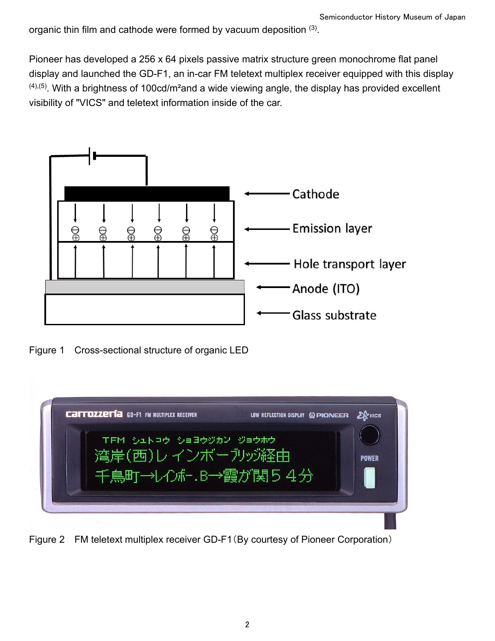organic thin film and cathode were formed by vacuum deposition (3).

Pioneer has developed a 256 x 64 pixels passive matrix structure green monochrome flat panel display and launched the GD-F1, an in-car FM teletext multiplex receiver equipped with this display  $(4)$ ,  $(5)$ . With a brightness of 100cd/m<sup>2</sup>and a wide viewing angle, the display has provided excellent visibility of "VICS" and teletext information inside of the car.



Figure 1 Cross-sectional structure of organic LED



Figure 2 FM teletext multiplex receiver GD-F1(By courtesy of Pioneer Corporation)